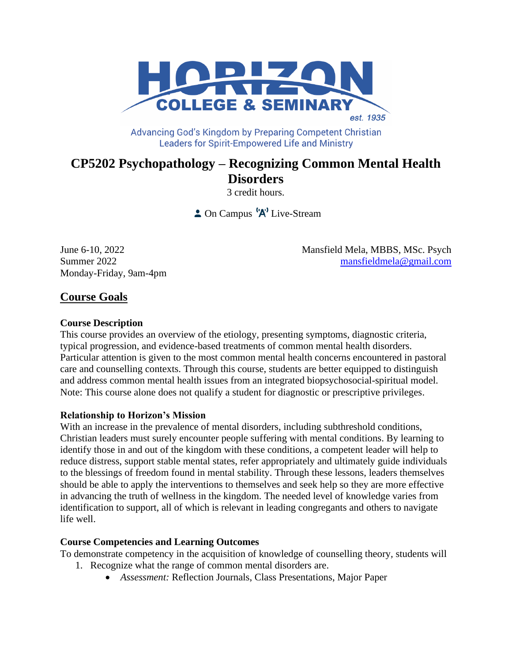

Advancing God's Kingdom by Preparing Competent Christian **Leaders for Spirit-Empowered Life and Ministry** 

# **CP5202 Psychopathology – Recognizing Common Mental Health Disorders**

3 credit hours.

 $\triangle$  On Campus  $\left(\mathsf{A}\right)^{1}$  Live-Stream

Monday-Friday, 9am-4pm

June 6-10, 2022 Mansfield Mela, MBBS, MSc. Psych Summer 2022 [mansfieldmela@gmail.com](mailto:mansfieldmela@gmail.com)

## **Course Goals**

## **Course Description**

This course provides an overview of the etiology, presenting symptoms, diagnostic criteria, typical progression, and evidence-based treatments of common mental health disorders. Particular attention is given to the most common mental health concerns encountered in pastoral care and counselling contexts. Through this course, students are better equipped to distinguish and address common mental health issues from an integrated biopsychosocial-spiritual model. Note: This course alone does not qualify a student for diagnostic or prescriptive privileges.

## **Relationship to Horizon's Mission**

With an increase in the prevalence of mental disorders, including subthreshold conditions, Christian leaders must surely encounter people suffering with mental conditions. By learning to identify those in and out of the kingdom with these conditions, a competent leader will help to reduce distress, support stable mental states, refer appropriately and ultimately guide individuals to the blessings of freedom found in mental stability. Through these lessons, leaders themselves should be able to apply the interventions to themselves and seek help so they are more effective in advancing the truth of wellness in the kingdom. The needed level of knowledge varies from identification to support, all of which is relevant in leading congregants and others to navigate life well.

## **Course Competencies and Learning Outcomes**

To demonstrate competency in the acquisition of knowledge of counselling theory*,* students will

- 1. Recognize what the range of common mental disorders are.
	- *Assessment:* Reflection Journals, Class Presentations, Major Paper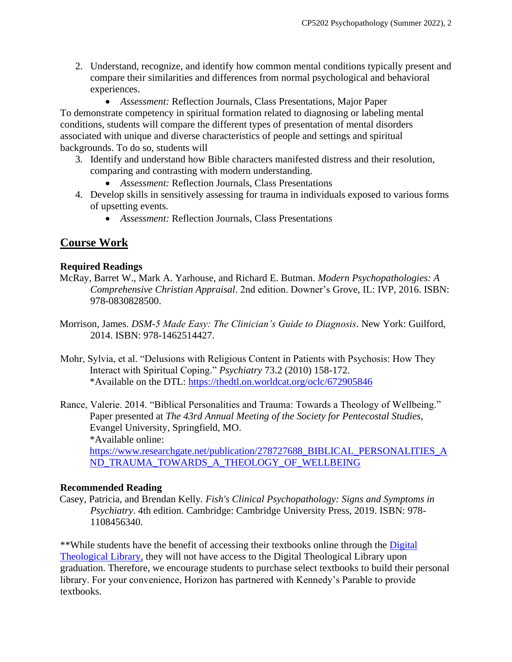2. Understand, recognize, and identify how common mental conditions typically present and compare their similarities and differences from normal psychological and behavioral experiences.

• *Assessment:* Reflection Journals, Class Presentations, Major Paper To demonstrate competency in spiritual formation related to diagnosing or labeling mental conditions*,* students will compare the different types of presentation of mental disorders associated with unique and diverse characteristics of people and settings and spiritual backgrounds. To do so, students will

- 3. Identify and understand how Bible characters manifested distress and their resolution, comparing and contrasting with modern understanding.
	- *Assessment:* Reflection Journals, Class Presentations
- 4. Develop skills in sensitively assessing for trauma in individuals exposed to various forms of upsetting events*.*
	- *Assessment:* Reflection Journals, Class Presentations

## **Course Work**

### **Required Readings**

- McRay, Barret W., Mark A. Yarhouse, and Richard E. Butman. *Modern Psychopathologies: A Comprehensive Christian Appraisal*. 2nd edition. Downer's Grove, IL: IVP, 2016. ISBN: 978-0830828500.
- Morrison, James. *DSM-5 Made Easy: The Clinician's Guide to Diagnosis*. New York: Guilford, 2014. ISBN: 978-1462514427.
- Mohr, Sylvia, et al. "Delusions with Religious Content in Patients with Psychosis: How They Interact with Spiritual Coping." *Psychiatry* 73.2 (2010) 158-172. \*Available on the DTL:<https://thedtl.on.worldcat.org/oclc/672905846>
- Rance, Valerie. 2014. "Biblical Personalities and Trauma: Towards a Theology of Wellbeing." Paper presented at *The 43rd Annual Meeting of the Society for Pentecostal Studies*, Evangel University, Springfield, MO. \*Available online: [https://www.researchgate.net/publication/278727688\\_BIBLICAL\\_PERSONALITIES\\_A](https://www.researchgate.net/publication/278727688_BIBLICAL_PERSONALITIES_AND_TRAUMA_TOWARDS_A_THEOLOGY_OF_WELLBEING) [ND\\_TRAUMA\\_TOWARDS\\_A\\_THEOLOGY\\_OF\\_WELLBEING](https://www.researchgate.net/publication/278727688_BIBLICAL_PERSONALITIES_AND_TRAUMA_TOWARDS_A_THEOLOGY_OF_WELLBEING)

#### **Recommended Reading**

Casey, Patricia, and Brendan Kelly*. Fish's Clinical Psychopathology: Signs and Symptoms in Psychiatry*. 4th edition. Cambridge: Cambridge University Press, 2019. ISBN: 978- 1108456340.

\*\*While students have the benefit of accessing their textbooks online through the [Digital](https://saskatoon.mlasolutions.com/m5/catalog/(S(3h21syce2tpjqj0wea2rbnzr))/Default.aspx?installation=HRZN)  [Theological Library,](https://saskatoon.mlasolutions.com/m5/catalog/(S(3h21syce2tpjqj0wea2rbnzr))/Default.aspx?installation=HRZN) they will not have access to the Digital Theological Library upon graduation. Therefore, we encourage students to purchase select textbooks to build their personal library. For your convenience, Horizon has partnered with Kennedy's Parable to provide textbooks.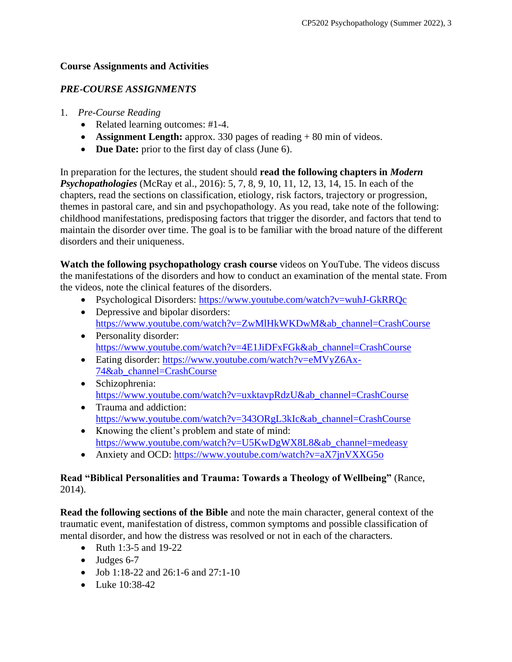## **Course Assignments and Activities**

## *PRE-COURSE ASSIGNMENTS*

- 1. *Pre-Course Reading*
	- Related learning outcomes: #1-4.
	- **Assignment Length:** approx. 330 pages of reading + 80 min of videos.
	- **Due Date:** prior to the first day of class (June 6).

In preparation for the lectures, the student should **read the following chapters in** *Modern Psychopathologies* (McRay et al., 2016): 5, 7, 8, 9, 10, 11, 12, 13, 14, 15. In each of the chapters, read the sections on classification, etiology, risk factors, trajectory or progression, themes in pastoral care, and sin and psychopathology. As you read, take note of the following: childhood manifestations, predisposing factors that trigger the disorder, and factors that tend to maintain the disorder over time. The goal is to be familiar with the broad nature of the different disorders and their uniqueness.

**Watch the following psychopathology crash course** videos on YouTube. The videos discuss the manifestations of the disorders and how to conduct an examination of the mental state. From the videos, note the clinical features of the disorders.

- Psychological Disorders:<https://www.youtube.com/watch?v=wuhJ-GkRRQc>
- Depressive and bipolar disorders: [https://www.youtube.com/watch?v=ZwMlHkWKDwM&ab\\_channel=CrashCourse](https://www.youtube.com/watch?v=ZwMlHkWKDwM&ab_channel=CrashCourse)
- Personality disorder: [https://www.youtube.com/watch?v=4E1JiDFxFGk&ab\\_channel=CrashCourse](https://www.youtube.com/watch?v=4E1JiDFxFGk&ab_channel=CrashCourse)
- Eating disorder: https://www.youtube.com/watch?v=eMVvZ6Ax-[74&ab\\_channel=CrashCourse](https://www.youtube.com/watch?v=eMVyZ6Ax-74&ab_channel=CrashCourse)
- Schizophrenia: [https://www.youtube.com/watch?v=uxktavpRdzU&ab\\_channel=CrashCourse](https://www.youtube.com/watch?v=uxktavpRdzU&ab_channel=CrashCourse)
- Trauma and addiction: [https://www.youtube.com/watch?v=343ORgL3kIc&ab\\_channel=CrashCourse](https://www.youtube.com/watch?v=343ORgL3kIc&ab_channel=CrashCourse)
- Knowing the client's problem and state of mind: [https://www.youtube.com/watch?v=U5KwDgWX8L8&ab\\_channel=medeasy](https://www.youtube.com/watch?v=U5KwDgWX8L8&ab_channel=medeasy)
- Anxiety and OCD: <https://www.youtube.com/watch?v=aX7jnVXXG5o>

### **Read "Biblical Personalities and Trauma: Towards a Theology of Wellbeing"** (Rance, 2014).

**Read the following sections of the Bible** and note the main character, general context of the traumatic event, manifestation of distress, common symptoms and possible classification of mental disorder, and how the distress was resolved or not in each of the characters.

- Ruth 1:3-5 and 19-22
- Judges 6-7
- Job 1:18-22 and 26:1-6 and 27:1-10
- Luke 10:38-42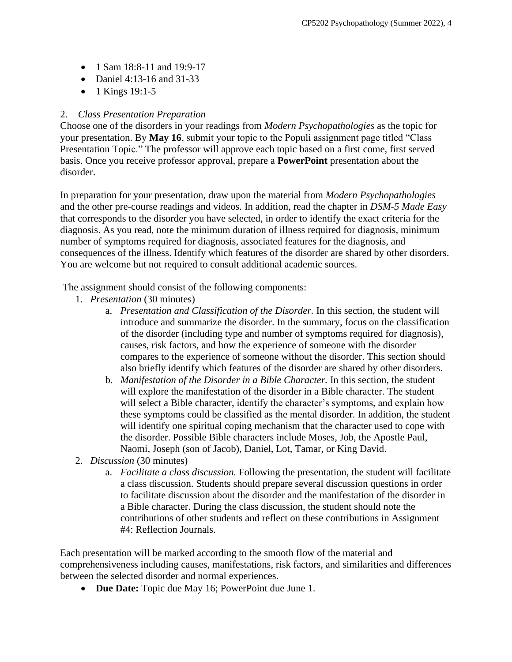- 1 Sam 18:8-11 and 19:9-17
- Daniel 4:13-16 and 31-33
- 1 Kings 19:1-5

## 2. *Class Presentation Preparation*

Choose one of the disorders in your readings from *Modern Psychopathologies* as the topic for your presentation. By **May 16**, submit your topic to the Populi assignment page titled "Class Presentation Topic." The professor will approve each topic based on a first come, first served basis. Once you receive professor approval, prepare a **PowerPoint** presentation about the disorder.

In preparation for your presentation, draw upon the material from *Modern Psychopathologies* and the other pre-course readings and videos. In addition, read the chapter in *DSM-5 Made Easy* that corresponds to the disorder you have selected, in order to identify the exact criteria for the diagnosis. As you read, note the minimum duration of illness required for diagnosis, minimum number of symptoms required for diagnosis, associated features for the diagnosis, and consequences of the illness. Identify which features of the disorder are shared by other disorders. You are welcome but not required to consult additional academic sources.

The assignment should consist of the following components:

- 1. *Presentation* (30 minutes)
	- a. *Presentation and Classification of the Disorder.* In this section, the student will introduce and summarize the disorder. In the summary, focus on the classification of the disorder (including type and number of symptoms required for diagnosis), causes, risk factors, and how the experience of someone with the disorder compares to the experience of someone without the disorder. This section should also briefly identify which features of the disorder are shared by other disorders.
	- b. *Manifestation of the Disorder in a Bible Character.* In this section, the student will explore the manifestation of the disorder in a Bible character. The student will select a Bible character, identify the character's symptoms, and explain how these symptoms could be classified as the mental disorder. In addition, the student will identify one spiritual coping mechanism that the character used to cope with the disorder. Possible Bible characters include Moses, Job, the Apostle Paul, Naomi, Joseph (son of Jacob), Daniel, Lot, Tamar, or King David.
- 2. *Discussion* (30 minutes)
	- a. *Facilitate a class discussion.* Following the presentation, the student will facilitate a class discussion. Students should prepare several discussion questions in order to facilitate discussion about the disorder and the manifestation of the disorder in a Bible character. During the class discussion, the student should note the contributions of other students and reflect on these contributions in Assignment #4: Reflection Journals.

Each presentation will be marked according to the smooth flow of the material and comprehensiveness including causes, manifestations, risk factors, and similarities and differences between the selected disorder and normal experiences.

• **Due Date:** Topic due May 16; PowerPoint due June 1.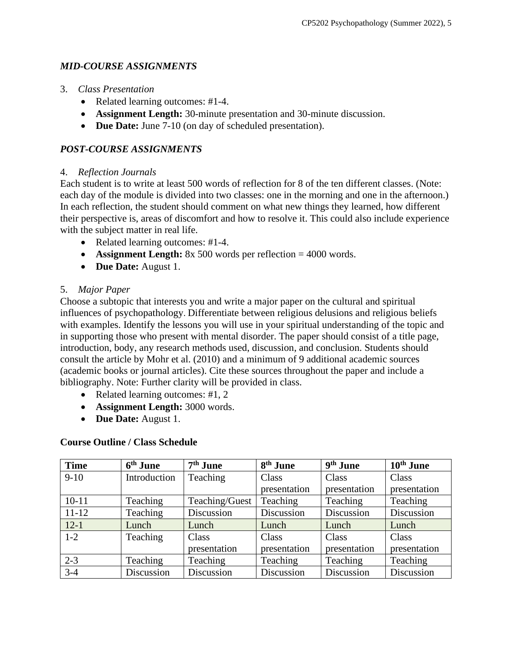## *MID-COURSE ASSIGNMENTS*

- 3. *Class Presentation*
	- Related learning outcomes: #1-4.
	- **Assignment Length:** 30-minute presentation and 30-minute discussion.
	- **Due Date:** June 7-10 (on day of scheduled presentation).

## *POST-COURSE ASSIGNMENTS*

#### 4. *Reflection Journals*

Each student is to write at least 500 words of reflection for 8 of the ten different classes. (Note: each day of the module is divided into two classes: one in the morning and one in the afternoon.) In each reflection, the student should comment on what new things they learned, how different their perspective is, areas of discomfort and how to resolve it. This could also include experience with the subject matter in real life.

- Related learning outcomes: #1-4.
- **Assignment Length:** 8x 500 words per reflection = 4000 words.
- **Due Date:** August 1.

## 5. *Major Paper*

Choose a subtopic that interests you and write a major paper on the cultural and spiritual influences of psychopathology. Differentiate between religious delusions and religious beliefs with examples. Identify the lessons you will use in your spiritual understanding of the topic and in supporting those who present with mental disorder. The paper should consist of a title page, introduction, body, any research methods used, discussion, and conclusion. Students should consult the article by Mohr et al. (2010) and a minimum of 9 additional academic sources (academic books or journal articles). Cite these sources throughout the paper and include a bibliography. Note: Further clarity will be provided in class.

- Related learning outcomes: #1, 2
- **Assignment Length:** 3000 words.
- **Due Date:** August 1.

#### **Course Outline / Class Schedule**

| <b>Time</b> | 6 <sup>th</sup> June | $7th$ June     | 8 <sup>th</sup> June | 9 <sup>th</sup> June | 10 <sup>th</sup> June |
|-------------|----------------------|----------------|----------------------|----------------------|-----------------------|
| $9 - 10$    | Introduction         | Teaching       | Class                | Class                | Class                 |
|             |                      |                | presentation         | presentation         | presentation          |
| $10-11$     | Teaching             | Teaching/Guest | Teaching             | Teaching             | Teaching              |
| $11 - 12$   | Teaching             | Discussion     | Discussion           | Discussion           | Discussion            |
| $12-1$      | Lunch                | Lunch          | Lunch                | Lunch                | Lunch                 |
| $1 - 2$     | Teaching             | Class          | Class                | Class                | Class                 |
|             |                      | presentation   | presentation         | presentation         | presentation          |
| $2 - 3$     | Teaching             | Teaching       | Teaching             | Teaching             | Teaching              |
| $3 - 4$     | Discussion           | Discussion     | Discussion           | Discussion           | Discussion            |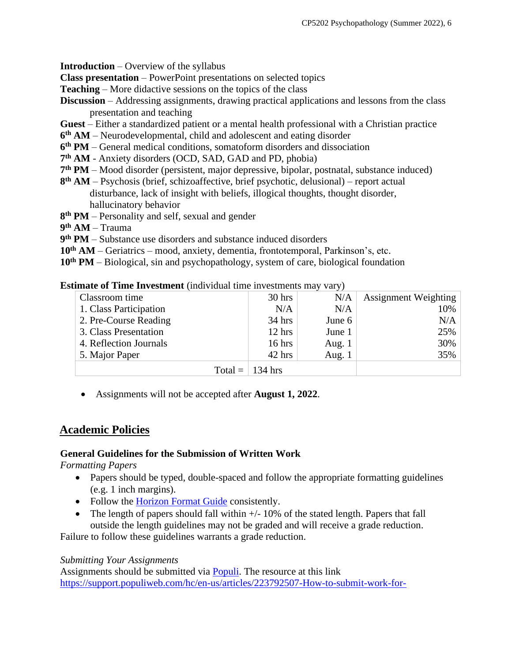**Introduction** – Overview of the syllabus

**Class presentation** – PowerPoint presentations on selected topics

**Teaching** – More didactive sessions on the topics of the class

- **Discussion** Addressing assignments, drawing practical applications and lessons from the class presentation and teaching
- **Guest** Either a standardized patient or a mental health professional with a Christian practice
- **6 th AM** Neurodevelopmental, child and adolescent and eating disorder
- **6 th PM** General medical conditions, somatoform disorders and dissociation
- **7 th AM** Anxiety disorders (OCD, SAD, GAD and PD, phobia)
- **7 th PM** Mood disorder (persistent, major depressive, bipolar, postnatal, substance induced)
- **8 th AM** Psychosis (brief, schizoaffective, brief psychotic, delusional) report actual disturbance, lack of insight with beliefs, illogical thoughts, thought disorder, hallucinatory behavior
- **8 th PM** Personality and self, sexual and gender
- **9 th AM**  Trauma
- **9 th PM** Substance use disorders and substance induced disorders
- **10th AM** Geriatrics mood, anxiety, dementia, frontotemporal, Parkinson's, etc.
- **10th PM** Biological, sin and psychopathology, system of care, biological foundation

#### **Estimate of Time Investment** *(individual time investments may vary)*

| Classroom time         | $30$ hrs                | N/A      | <b>Assignment Weighting</b> |
|------------------------|-------------------------|----------|-----------------------------|
| 1. Class Participation | N/A                     | N/A      | 10%                         |
| 2. Pre-Course Reading  | $34$ hrs                | June 6   | N/A                         |
| 3. Class Presentation  | $12$ hrs                | June 1   | 25%                         |
| 4. Reflection Journals | $16$ hrs                | Aug. $1$ | 30%                         |
| 5. Major Paper         | $42$ hrs                | Aug. $1$ | 35%                         |
|                        | Total = $\vert$ 134 hrs |          |                             |

• Assignments will not be accepted after **August 1, 2022**.

## **Academic Policies**

#### **General Guidelines for the Submission of Written Work**

*Formatting Papers* 

- Papers should be typed, double-spaced and follow the appropriate formatting guidelines (e.g. 1 inch margins).
- Follow the [Horizon Format Guide](https://www.horizon.edu/students/resources/) consistently.
- The length of papers should fall within  $+/-10\%$  of the stated length. Papers that fall outside the length guidelines may not be graded and will receive a grade reduction.

Failure to follow these guidelines warrants a grade reduction.

#### *Submitting Your Assignments*

Assignments should be submitted via [Populi.](https://horizon.populiweb.com/) The resource at this link [https://support.populiweb.com/hc/en-us/articles/223792507-How-to-submit-work-for-](https://support.populiweb.com/hc/en-us/articles/223792507-How-to-submit-work-for-assignments)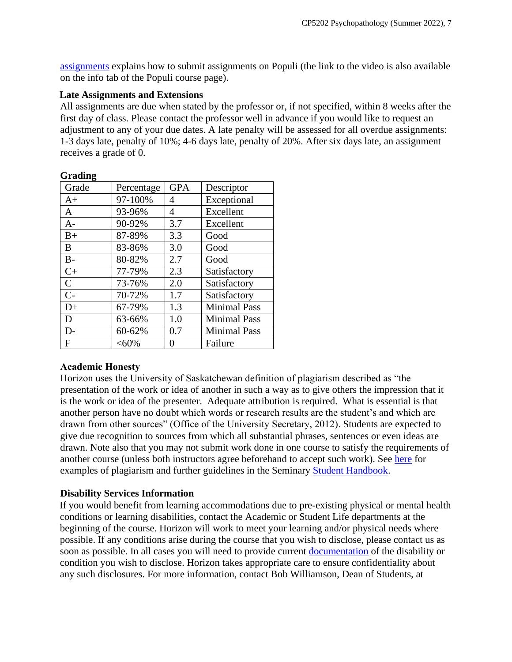[assignments](https://support.populiweb.com/hc/en-us/articles/223792507-How-to-submit-work-for-assignments) explains how to submit assignments on Populi (the link to the video is also available on the info tab of the Populi course page).

### **Late Assignments and Extensions**

All assignments are due when stated by the professor or, if not specified, within 8 weeks after the first day of class. Please contact the professor well in advance if you would like to request an adjustment to any of your due dates. A late penalty will be assessed for all overdue assignments: 1-3 days late, penalty of 10%; 4-6 days late, penalty of 20%. After six days late, an assignment receives a grade of 0.

| Percentage | <b>GPA</b> | Descriptor          |
|------------|------------|---------------------|
| 97-100%    | 4          | Exceptional         |
| 93-96%     | 4          | Excellent           |
| 90-92%     | 3.7        | Excellent           |
| 87-89%     | 3.3        | Good                |
| 83-86%     | 3.0        | Good                |
| 80-82%     | 2.7        | Good                |
| 77-79%     | 2.3        | Satisfactory        |
| 73-76%     | 2.0        | Satisfactory        |
| 70-72%     | 1.7        | Satisfactory        |
| 67-79%     | 1.3        | <b>Minimal Pass</b> |
| 63-66%     | 1.0        | <b>Minimal Pass</b> |
| 60-62%     | 0.7        | <b>Minimal Pass</b> |
| $< 60\%$   | 0          | Failure             |
|            |            |                     |

#### **Grading**

## **Academic Honesty**

Horizon uses the University of Saskatchewan definition of plagiarism described as "the presentation of the work or idea of another in such a way as to give others the impression that it is the work or idea of the presenter. Adequate attribution is required. What is essential is that another person have no doubt which words or research results are the student's and which are drawn from other sources" (Office of the University Secretary, 2012). Students are expected to give due recognition to sources from which all substantial phrases, sentences or even ideas are drawn. Note also that you may not submit work done in one course to satisfy the requirements of another course (unless both instructors agree beforehand to accept such work). See [here](http://www.turnitin.com/assets/en_us/media/plagiarism_spectrum.php) for examples of plagiarism and further guidelines in the Seminary [Student Handbook.](https://www.horizon.edu/students/resources/)

## **Disability Services Information**

If you would benefit from learning accommodations due to pre-existing physical or mental health conditions or learning disabilities, contact the Academic or Student Life departments at the beginning of the course. Horizon will work to meet your learning and/or physical needs where possible. If any conditions arise during the course that you wish to disclose, please contact us as soon as possible. In all cases you will need to provide current [documentation](https://www.horizon.edu/students/support/) of the disability or condition you wish to disclose. Horizon takes appropriate care to ensure confidentiality about any such disclosures. For more information, contact Bob Williamson, Dean of Students, at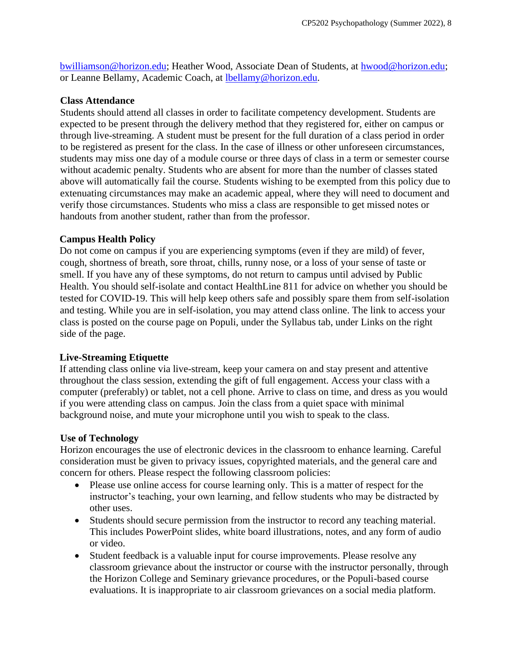[bwilliamson@horizon.edu;](mailto:bwilliamson@horizon.edu) Heather Wood, Associate Dean of Students, at [hwood@horizon.edu;](mailto:hwood@horizon.edu) or Leanne Bellamy, Academic Coach, at [lbellamy@horizon.edu.](mailto:lbellamy@horizon.edu)

#### **Class Attendance**

Students should attend all classes in order to facilitate competency development. Students are expected to be present through the delivery method that they registered for, either on campus or through live-streaming. A student must be present for the full duration of a class period in order to be registered as present for the class. In the case of illness or other unforeseen circumstances, students may miss one day of a module course or three days of class in a term or semester course without academic penalty. Students who are absent for more than the number of classes stated above will automatically fail the course. Students wishing to be exempted from this policy due to extenuating circumstances may make an academic appeal, where they will need to document and verify those circumstances. Students who miss a class are responsible to get missed notes or handouts from another student, rather than from the professor.

#### **Campus Health Policy**

Do not come on campus if you are experiencing symptoms (even if they are mild) of fever, cough, shortness of breath, sore throat, chills, runny nose, or a loss of your sense of taste or smell. If you have any of these symptoms, do not return to campus until advised by Public Health. You should self-isolate and contact HealthLine 811 for advice on whether you should be tested for COVID-19. This will help keep others safe and possibly spare them from self-isolation and testing. While you are in self-isolation, you may attend class online. The link to access your class is posted on the course page on Populi, under the Syllabus tab, under Links on the right side of the page.

#### **Live-Streaming Etiquette**

If attending class online via live-stream, keep your camera on and stay present and attentive throughout the class session, extending the gift of full engagement. Access your class with a computer (preferably) or tablet, not a cell phone. Arrive to class on time, and dress as you would if you were attending class on campus. Join the class from a quiet space with minimal background noise, and mute your microphone until you wish to speak to the class.

#### **Use of Technology**

Horizon encourages the use of electronic devices in the classroom to enhance learning. Careful consideration must be given to privacy issues, copyrighted materials, and the general care and concern for others. Please respect the following classroom policies:

- Please use online access for course learning only. This is a matter of respect for the instructor's teaching, your own learning, and fellow students who may be distracted by other uses.
- Students should secure permission from the instructor to record any teaching material. This includes PowerPoint slides, white board illustrations, notes, and any form of audio or video.
- Student feedback is a valuable input for course improvements. Please resolve any classroom grievance about the instructor or course with the instructor personally, through the Horizon College and Seminary grievance procedures, or the Populi-based course evaluations. It is inappropriate to air classroom grievances on a social media platform.